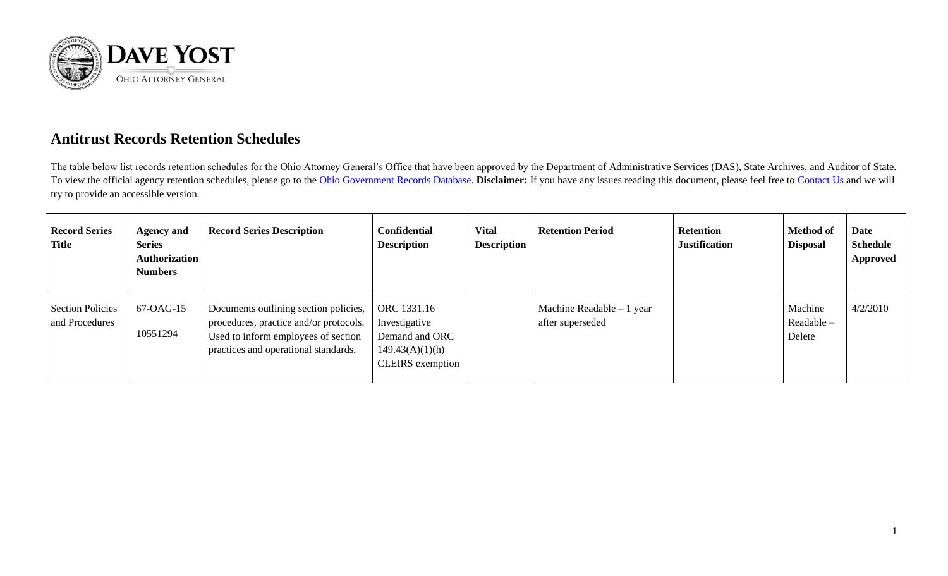

## **Antitrust Records Retention Schedules**

The table below list records retention schedules for the Ohio Attorney General's Office that have been approved by the Department of Administrative Services (DAS), State Archives, and Auditor of State. To view the official agency retention schedules, please go to the [Ohio Government Records Database.](https://apps.das.ohio.gov/RIMS/GeneralSchedule) **Disclaimer:** If you have any issues reading this document, please feel free to [Contact Us](https://www.ohioattorneygeneral.gov/About-AG/Contact) and we will try to provide an accessible version.

| <b>Record Series</b><br>Title             | <b>Agency and</b><br><b>Series</b><br>Authorization<br><b>Numbers</b> | <b>Record Series Description</b>                                                                                                                               | <b>Confidential</b><br><b>Description</b>                                                    | <b>Vital</b><br><b>Description</b> | <b>Retention Period</b>                        | <b>Retention</b><br><b>Justification</b> | <b>Method of</b><br><b>Disposal</b> | <b>Date</b><br><b>Schedule</b><br><b>Approved</b> |
|-------------------------------------------|-----------------------------------------------------------------------|----------------------------------------------------------------------------------------------------------------------------------------------------------------|----------------------------------------------------------------------------------------------|------------------------------------|------------------------------------------------|------------------------------------------|-------------------------------------|---------------------------------------------------|
| <b>Section Policies</b><br>and Procedures | 67-OAG-15<br>10551294                                                 | Documents outlining section policies,<br>procedures, practice and/or protocols.<br>Used to inform employees of section<br>practices and operational standards. | ORC 1331.16<br>Investigative<br>Demand and ORC<br>149.43(A)(1)(h)<br><b>CLEIRS</b> exemption |                                    | Machine Readable $-1$ year<br>after superseded |                                          | Machine<br>Readable -<br>Delete     | 4/2/2010                                          |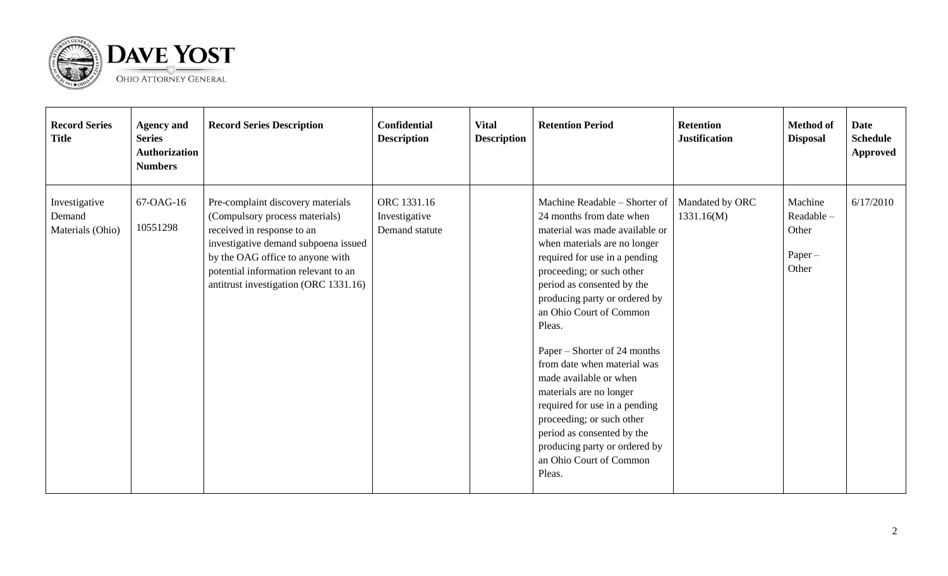

| <b>Record Series</b><br><b>Title</b>        | <b>Agency and</b><br><b>Series</b><br>Authorization<br><b>Numbers</b> | <b>Record Series Description</b>                                                                                                                                                                                                                               | <b>Confidential</b><br><b>Description</b>      | <b>Vital</b><br><b>Description</b> | <b>Retention Period</b>                                                                                                                                                                                                                                                                                                                                                                                                                                                                                                                                                             | <b>Retention</b><br><b>Justification</b> | <b>Method of</b><br><b>Disposal</b>                 | <b>Date</b><br><b>Schedule</b><br><b>Approved</b> |
|---------------------------------------------|-----------------------------------------------------------------------|----------------------------------------------------------------------------------------------------------------------------------------------------------------------------------------------------------------------------------------------------------------|------------------------------------------------|------------------------------------|-------------------------------------------------------------------------------------------------------------------------------------------------------------------------------------------------------------------------------------------------------------------------------------------------------------------------------------------------------------------------------------------------------------------------------------------------------------------------------------------------------------------------------------------------------------------------------------|------------------------------------------|-----------------------------------------------------|---------------------------------------------------|
| Investigative<br>Demand<br>Materials (Ohio) | 67-OAG-16<br>10551298                                                 | Pre-complaint discovery materials<br>(Compulsory process materials)<br>received in response to an<br>investigative demand subpoena issued<br>by the OAG office to anyone with<br>potential information relevant to an<br>antitrust investigation (ORC 1331.16) | ORC 1331.16<br>Investigative<br>Demand statute |                                    | Machine Readable - Shorter of<br>24 months from date when<br>material was made available or<br>when materials are no longer<br>required for use in a pending<br>proceeding; or such other<br>period as consented by the<br>producing party or ordered by<br>an Ohio Court of Common<br>Pleas.<br>Paper – Shorter of 24 months<br>from date when material was<br>made available or when<br>materials are no longer<br>required for use in a pending<br>proceeding; or such other<br>period as consented by the<br>producing party or ordered by<br>an Ohio Court of Common<br>Pleas. | Mandated by ORC<br>1331.16(M)            | Machine<br>Readable-<br>Other<br>$Paper -$<br>Other | 6/17/2010                                         |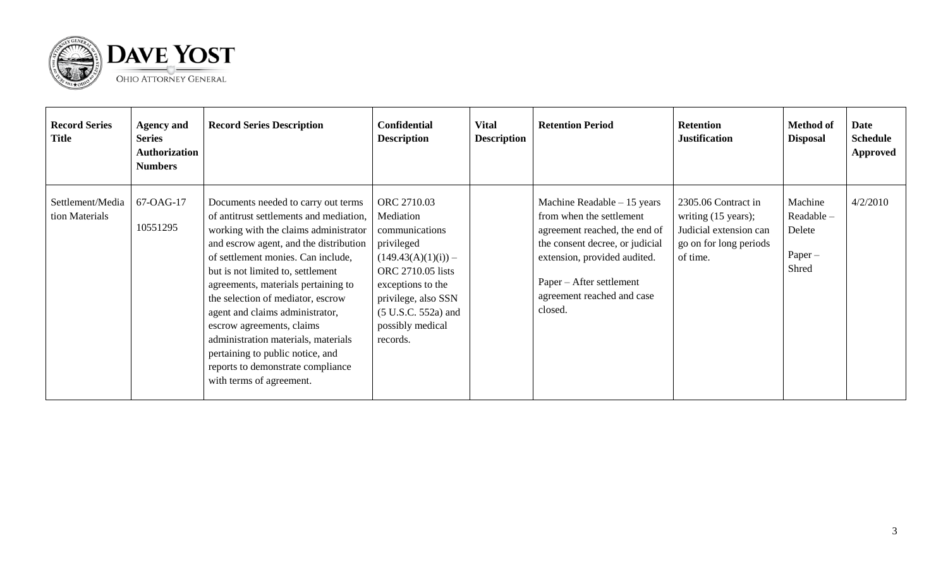

| <b>Record Series</b><br><b>Title</b> | <b>Agency and</b><br><b>Series</b><br><b>Authorization</b><br><b>Numbers</b> | <b>Record Series Description</b>                                                                                                                                                                                                                                                                                                                                                                                                                                                                                                     | <b>Confidential</b><br><b>Description</b>                                                                                                                                                                   | <b>Vital</b><br><b>Description</b> | <b>Retention Period</b>                                                                                                                                                                                                           | <b>Retention</b><br><b>Justification</b>                                                                              | <b>Method of</b><br><b>Disposal</b>                   | Date<br><b>Schedule</b><br><b>Approved</b> |
|--------------------------------------|------------------------------------------------------------------------------|--------------------------------------------------------------------------------------------------------------------------------------------------------------------------------------------------------------------------------------------------------------------------------------------------------------------------------------------------------------------------------------------------------------------------------------------------------------------------------------------------------------------------------------|-------------------------------------------------------------------------------------------------------------------------------------------------------------------------------------------------------------|------------------------------------|-----------------------------------------------------------------------------------------------------------------------------------------------------------------------------------------------------------------------------------|-----------------------------------------------------------------------------------------------------------------------|-------------------------------------------------------|--------------------------------------------|
| Settlement/Media<br>tion Materials   | 67-OAG-17<br>10551295                                                        | Documents needed to carry out terms<br>of antitrust settlements and mediation,<br>working with the claims administrator<br>and escrow agent, and the distribution<br>of settlement monies. Can include,<br>but is not limited to, settlement<br>agreements, materials pertaining to<br>the selection of mediator, escrow<br>agent and claims administrator,<br>escrow agreements, claims<br>administration materials, materials<br>pertaining to public notice, and<br>reports to demonstrate compliance<br>with terms of agreement. | ORC 2710.03<br>Mediation<br>communications<br>privileged<br>$(149.43(A)(1)(i)) -$<br>ORC 2710.05 lists<br>exceptions to the<br>privilege, also SSN<br>$(5 U.S.C. 552a)$ and<br>possibly medical<br>records. |                                    | Machine Readable $-15$ years<br>from when the settlement<br>agreement reached, the end of<br>the consent decree, or judicial<br>extension, provided audited.<br>Paper – After settlement<br>agreement reached and case<br>closed. | 2305.06 Contract in<br>writing $(15 \text{ years})$ ;<br>Judicial extension can<br>go on for long periods<br>of time. | Machine<br>Readable -<br>Delete<br>$Paper -$<br>Shred | 4/2/2010                                   |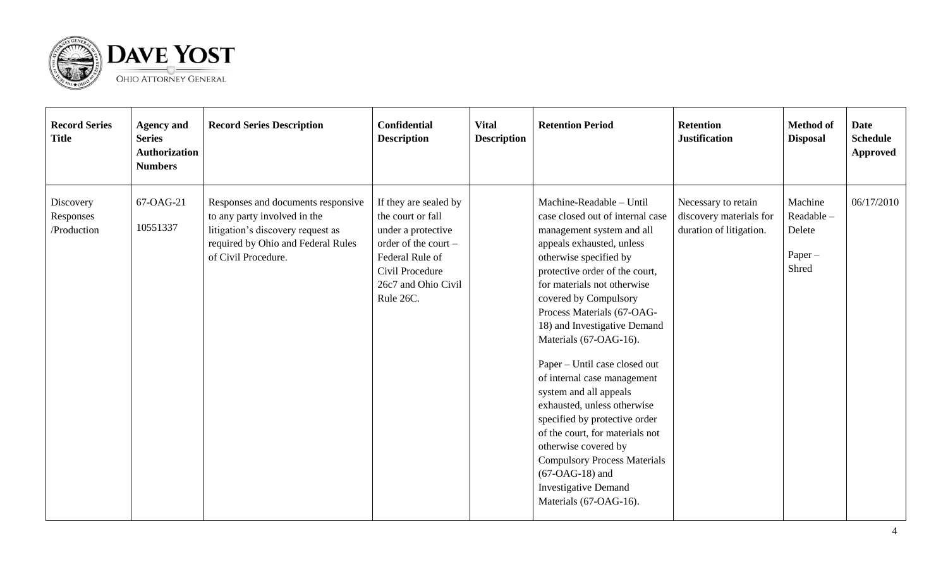

| <b>Record Series</b><br><b>Title</b>  | <b>Agency and</b><br><b>Series</b><br><b>Authorization</b><br><b>Numbers</b> | <b>Record Series Description</b>                                                                                                                                     | <b>Confidential</b><br><b>Description</b>                                                                                                                          | <b>Vital</b><br><b>Description</b> | <b>Retention Period</b>                                                                                                                                                                                                                                                                                                                                                                                                                                                                                                                                                                                                                                                      | <b>Retention</b><br><b>Justification</b>                                  | <b>Method of</b><br><b>Disposal</b>                  | <b>Date</b><br><b>Schedule</b><br><b>Approved</b> |
|---------------------------------------|------------------------------------------------------------------------------|----------------------------------------------------------------------------------------------------------------------------------------------------------------------|--------------------------------------------------------------------------------------------------------------------------------------------------------------------|------------------------------------|------------------------------------------------------------------------------------------------------------------------------------------------------------------------------------------------------------------------------------------------------------------------------------------------------------------------------------------------------------------------------------------------------------------------------------------------------------------------------------------------------------------------------------------------------------------------------------------------------------------------------------------------------------------------------|---------------------------------------------------------------------------|------------------------------------------------------|---------------------------------------------------|
| Discovery<br>Responses<br>/Production | 67-OAG-21<br>10551337                                                        | Responses and documents responsive<br>to any party involved in the<br>litigation's discovery request as<br>required by Ohio and Federal Rules<br>of Civil Procedure. | If they are sealed by<br>the court or fall<br>under a protective<br>order of the court -<br>Federal Rule of<br>Civil Procedure<br>26c7 and Ohio Civil<br>Rule 26C. |                                    | Machine-Readable - Until<br>case closed out of internal case<br>management system and all<br>appeals exhausted, unless<br>otherwise specified by<br>protective order of the court,<br>for materials not otherwise<br>covered by Compulsory<br>Process Materials (67-OAG-<br>18) and Investigative Demand<br>Materials (67-OAG-16).<br>Paper – Until case closed out<br>of internal case management<br>system and all appeals<br>exhausted, unless otherwise<br>specified by protective order<br>of the court, for materials not<br>otherwise covered by<br><b>Compulsory Process Materials</b><br>$(67-OAG-18)$ and<br><b>Investigative Demand</b><br>Materials (67-OAG-16). | Necessary to retain<br>discovery materials for<br>duration of litigation. | Machine<br>Readable-<br>Delete<br>$Paper -$<br>Shred | 06/17/2010                                        |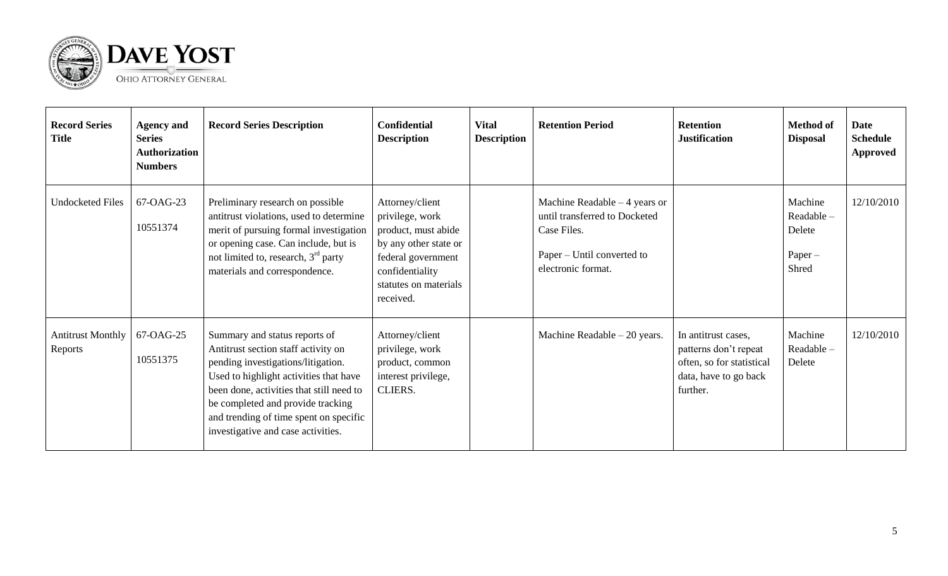

| <b>Record Series</b><br><b>Title</b> | <b>Agency and</b><br><b>Series</b><br><b>Authorization</b><br><b>Numbers</b> | <b>Record Series Description</b>                                                                                                                                                                                                                                                                                      | <b>Confidential</b><br><b>Description</b>                                                                                                                         | <b>Vital</b><br><b>Description</b> | <b>Retention Period</b>                                                                                                            | <b>Retention</b><br><b>Justification</b>                                                                       | <b>Method</b> of<br><b>Disposal</b>                  | <b>Date</b><br><b>Schedule</b><br><b>Approved</b> |
|--------------------------------------|------------------------------------------------------------------------------|-----------------------------------------------------------------------------------------------------------------------------------------------------------------------------------------------------------------------------------------------------------------------------------------------------------------------|-------------------------------------------------------------------------------------------------------------------------------------------------------------------|------------------------------------|------------------------------------------------------------------------------------------------------------------------------------|----------------------------------------------------------------------------------------------------------------|------------------------------------------------------|---------------------------------------------------|
| <b>Undocketed Files</b>              | 67-OAG-23<br>10551374                                                        | Preliminary research on possible<br>antitrust violations, used to determine<br>merit of pursuing formal investigation<br>or opening case. Can include, but is<br>not limited to, research, $3rd$ party<br>materials and correspondence.                                                                               | Attorney/client<br>privilege, work<br>product, must abide<br>by any other state or<br>federal government<br>confidentiality<br>statutes on materials<br>received. |                                    | Machine Readable $-4$ years or<br>until transferred to Docketed<br>Case Files.<br>Paper – Until converted to<br>electronic format. |                                                                                                                | Machine<br>Readable-<br>Delete<br>$Paper -$<br>Shred | 12/10/2010                                        |
| <b>Antitrust Monthly</b><br>Reports  | 67-OAG-25<br>10551375                                                        | Summary and status reports of<br>Antitrust section staff activity on<br>pending investigations/litigation.<br>Used to highlight activities that have<br>been done, activities that still need to<br>be completed and provide tracking<br>and trending of time spent on specific<br>investigative and case activities. | Attorney/client<br>privilege, work<br>product, common<br>interest privilege,<br><b>CLIERS.</b>                                                                    |                                    | Machine Readable $-20$ years.                                                                                                      | In antitrust cases,<br>patterns don't repeat<br>often, so for statistical<br>data, have to go back<br>further. | Machine<br>Readable-<br>Delete                       | 12/10/2010                                        |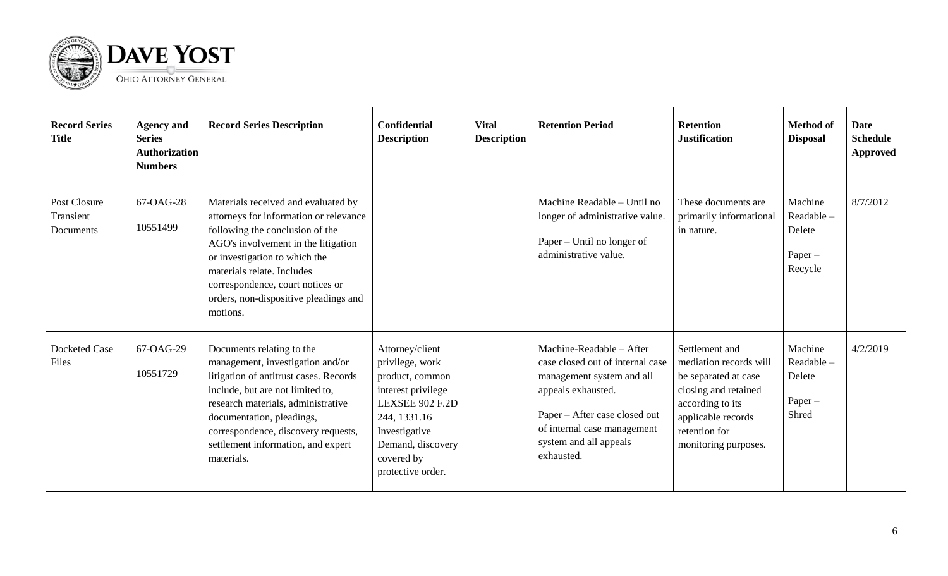

| <b>Record Series</b><br><b>Title</b>   | <b>Agency and</b><br><b>Series</b><br><b>Authorization</b><br><b>Numbers</b> | <b>Record Series Description</b>                                                                                                                                                                                                                                                                                | <b>Confidential</b><br><b>Description</b>                                                                                                                                               | <b>Vital</b><br><b>Description</b> | <b>Retention Period</b>                                                                                                                                                                                                 | <b>Retention</b><br><b>Justification</b>                                                                                                                                    | <b>Method of</b><br><b>Disposal</b>                    | <b>Date</b><br><b>Schedule</b><br><b>Approved</b> |
|----------------------------------------|------------------------------------------------------------------------------|-----------------------------------------------------------------------------------------------------------------------------------------------------------------------------------------------------------------------------------------------------------------------------------------------------------------|-----------------------------------------------------------------------------------------------------------------------------------------------------------------------------------------|------------------------------------|-------------------------------------------------------------------------------------------------------------------------------------------------------------------------------------------------------------------------|-----------------------------------------------------------------------------------------------------------------------------------------------------------------------------|--------------------------------------------------------|---------------------------------------------------|
| Post Closure<br>Transient<br>Documents | 67-OAG-28<br>10551499                                                        | Materials received and evaluated by<br>attorneys for information or relevance<br>following the conclusion of the<br>AGO's involvement in the litigation<br>or investigation to which the<br>materials relate. Includes<br>correspondence, court notices or<br>orders, non-dispositive pleadings and<br>motions. |                                                                                                                                                                                         |                                    | Machine Readable - Until no<br>longer of administrative value.<br>Paper – Until no longer of<br>administrative value.                                                                                                   | These documents are<br>primarily informational<br>in nature.                                                                                                                | Machine<br>Readable-<br>Delete<br>$Paper -$<br>Recycle | 8/7/2012                                          |
| <b>Docketed Case</b><br>Files          | 67-OAG-29<br>10551729                                                        | Documents relating to the<br>management, investigation and/or<br>litigation of antitrust cases. Records<br>include, but are not limited to,<br>research materials, administrative<br>documentation, pleadings,<br>correspondence, discovery requests,<br>settlement information, and expert<br>materials.       | Attorney/client<br>privilege, work<br>product, common<br>interest privilege<br>LEXSEE 902 F.2D<br>244, 1331.16<br>Investigative<br>Demand, discovery<br>covered by<br>protective order. |                                    | Machine-Readable – After<br>case closed out of internal case<br>management system and all<br>appeals exhausted.<br>Paper - After case closed out<br>of internal case management<br>system and all appeals<br>exhausted. | Settlement and<br>mediation records will<br>be separated at case<br>closing and retained<br>according to its<br>applicable records<br>retention for<br>monitoring purposes. | Machine<br>Readable-<br>Delete<br>$Paper -$<br>Shred   | 4/2/2019                                          |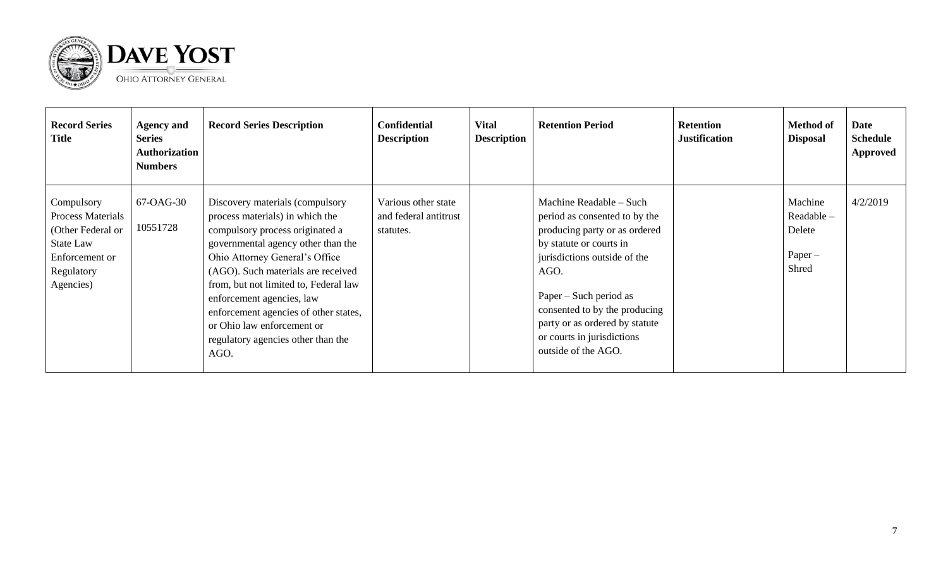



| <b>Record Series</b><br><b>Title</b>                                                                                  | <b>Agency and</b><br><b>Series</b><br>Authorization<br><b>Numbers</b> | <b>Record Series Description</b>                                                                                                                                                                                                                                                                                                                                                                               | <b>Confidential</b><br><b>Description</b>                 | <b>Vital</b><br><b>Description</b> | <b>Retention Period</b>                                                                                                                                                                                                                                                                                        | <b>Retention</b><br><b>Justification</b> | <b>Method of</b><br><b>Disposal</b>                   | <b>Date</b><br><b>Schedule</b><br><b>Approved</b> |
|-----------------------------------------------------------------------------------------------------------------------|-----------------------------------------------------------------------|----------------------------------------------------------------------------------------------------------------------------------------------------------------------------------------------------------------------------------------------------------------------------------------------------------------------------------------------------------------------------------------------------------------|-----------------------------------------------------------|------------------------------------|----------------------------------------------------------------------------------------------------------------------------------------------------------------------------------------------------------------------------------------------------------------------------------------------------------------|------------------------------------------|-------------------------------------------------------|---------------------------------------------------|
| Compulsory<br><b>Process Materials</b><br>(Other Federal or<br>State Law<br>Enforcement or<br>Regulatory<br>Agencies) | 67-OAG-30<br>10551728                                                 | Discovery materials (compulsory<br>process materials) in which the<br>compulsory process originated a<br>governmental agency other than the<br>Ohio Attorney General's Office<br>(AGO). Such materials are received<br>from, but not limited to, Federal law<br>enforcement agencies, law<br>enforcement agencies of other states,<br>or Ohio law enforcement or<br>regulatory agencies other than the<br>AGO. | Various other state<br>and federal antitrust<br>statutes. |                                    | Machine Readable - Such<br>period as consented to by the<br>producing party or as ordered<br>by statute or courts in<br>jurisdictions outside of the<br>AGO.<br>Paper – Such period as<br>consented to by the producing<br>party or as ordered by statute<br>or courts in jurisdictions<br>outside of the AGO. |                                          | Machine<br>Readable -<br>Delete<br>$Paper -$<br>Shred | 4/2/2019                                          |